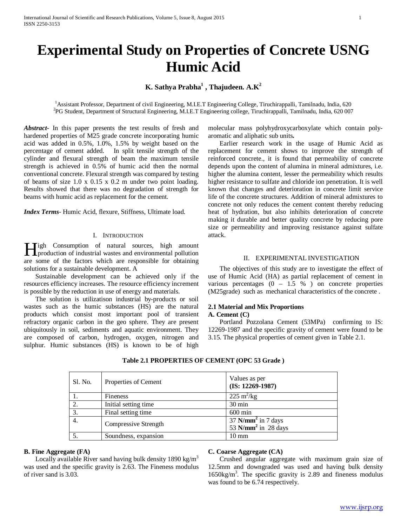# **Experimental Study on Properties of Concrete USNG Humic Acid**

**K. Sathya Prabha1 , Thajudeen. A.K<sup>2</sup>**

<sup>1</sup> Assistant Professor, Department of civil Engineering, M.I.E.T Engineering College, Tiruchirappalli, Tamilnadu, India, 620 2 PG Student, Department of Structural Engineering, M.I.E.T Engineering college, Tiruchirappalli, Tamilnadu, India, 620 007

*Abstract***-** In this paper presents the test results of fresh and hardened properties of M25 grade concrete incorporating humic acid was added in 0.5%, 1.0%, 1.5% by weight based on the percentage of cement added. In split tensile strength of the cylinder and flexural strength of beam the maximum tensile strength is achieved in 0.5% of humic acid then the normal conventional concrete. Flexural strength was compared by testing of beams of size 1.0 x 0.15 x 0.2 m under two point loading. Results showed that there was no degradation of strength for beams with humic acid as replacement for the cement*.*

*Index Terms*- Humic Acid, flexure, Stiffness, Ultimate load.

## I. INTRODUCTION

**Tigh Consumption of natural sources, high amount** High Consumption of natural sources, high amount production of industrial wastes and environmental pollution are some of the factors which are responsible for obtaining solutions for a sustainable development. A

 Sustainable development can be achieved only if the resources efficiency increases. The resource efficiency increment is possible by the reduction in use of energy and materials.

 The solution is utilizatison industrial by-products or soil wastes such as the humic substances (HS) are the natural products which consist most important pool of transient refractory organic carbon in the geo sphere. They are present ubiquitously in soil, sediments and aquatic environment. They are composed of carbon, hydrogen, oxygen, nitrogen and sulphur. Humic substances (HS) is known to be of high

molecular mass polyhydroxycarboxylate which contain polyaromatic and aliphatic sub units**.** 

 Earlier research work in the usage of Humic Acid as replacement for cement shows to improve the strength of reinforced concrete., it is found that permeability of concrete depends upon the content of alumina in mineral admixtures, i.e. higher the alumina content, lesser the permeability which results higher resistance to sulfate and chloride ion penetration. It is well known that changes and deterioration in concrete limit service life of the concrete structures. Addition of mineral admixtures to concrete not only reduces the cement content thereby reducing heat of hydration, but also inhibits deterioration of concrete making it durable and better quality concrete by reducing pore size or permeability and improving resistance against sulfate attack.

#### II. EXPERIMENTAL INVESTIGATION

 The objectives of this study are to investigate the effect of use of Humic Acid (HA) as partial replacement of cement in various percentages  $(0 - 1.5 %)$  on concrete properties (M25grade) such as mechanical characteristics of the concrete .

## **2.1 Material and Mix Proportions**

## **A. Cement (C)**

 Portland Pozzolana Cement (53MPa) confirming to IS: 12269-1987 and the specific gravity of cement were found to be 3.15. The physical properties of cement given in Table 2.1.

| Sl. No. | Properties of Cement | Values as per<br>$(IS: 12269-1987)$                        |
|---------|----------------------|------------------------------------------------------------|
|         | Fineness             | $225 \text{ m}^2/\text{kg}$                                |
| 2.      | Initial setting time | $30 \text{ min}$                                           |
| 3.      | Final setting time   | $600 \text{ min}$                                          |
| 4.      | Compressive Strength | $37$ N/mm <sup>2</sup> in 7 days<br>53 $N/mm^2$ in 28 days |
|         | Soundness, expansion | $10 \text{ mm}$                                            |

## **Table 2.1 PROPERTIES OF CEMENT (OPC 53 Grade )**

## **B. Fine Aggregate (FA)**

Locally available River sand having bulk density 1890 kg/m<sup>3</sup> was used and the specific gravity is 2.63. The Fineness modulus of river sand is 3.03.

# **C. Coarse Aggregate (CA)**

 Crushed angular aggregate with maximum grain size of 12.5mm and downgraded was used and having bulk density 1650kg/m3 . The specific gravity is 2.89 and fineness modulus was found to be 6.74 respectively.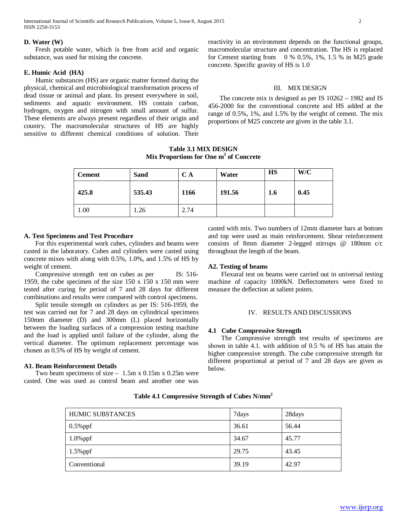#### **D. Water (W)**

 Fresh potable water, which is free from acid and organic substance, was used for mixing the concrete.

## **E. Humic Acid (HA)**

 Humic substances (HS) are organic matter formed during the physical, chemical and microbiological transformation process of dead tissue or animal and plant. Its present everywhere in soil, sediments and aquatic environment. HS contain carbon, hydrogen, oxygen and nitrogen with small amount of sulfur. These elements are always present regardless of their origin and country. The macromolecular structures of HS are highly sensitive to different chemical conditions of solution. Their reactivity in an environment depends on the functional groups, macromolecular structure and concentration. The HS is replaced for Cement starting from  $0\%$  0.5%, 1%, 1.5 % in M25 grade concrete. Specific gravity of HS is 1.0

#### III. MIX DESIGN

 The concrete mix is designed as per IS 10262 – 1982 and IS 456-2000 for the conventional concrete and HS added at the range of 0.5%, 1%, and 1.5% by the weight of cement. The mix proportions of M25 concrete are given in the table 3.1.

**Table 3.1 MIX DESIGN Mix Proportions for One m3 of Concrete**

| <b>Cement</b> | <b>Sand</b> | C A  | Water  | <b>HS</b> | W/C  |
|---------------|-------------|------|--------|-----------|------|
| 425.8         | 535.43      | 1166 | 191.56 | 1.6       | 0.45 |
| 1.00          | .26         | 2.74 |        |           |      |

#### **A. Test Specimens and Test Procedure**

 For this experimental work cubes, cylinders and beams were casted in the laboratory. Cubes and cylinders were casted using concrete mixes with along with 0.5%, 1.0%, and 1.5% of HS by weight of cement.

 Compressive strength test on cubes as per IS: 516- 1959, the cube specimen of the size  $150 \times 150 \times 150$  mm were tested after curing for period of 7 and 28 days for different combinations and results were compared with control specimens.

 Split tensile strength on cylinders as per IS: 516-1959, the test was carried out for 7 and 28 days on cylindrical specimens 150mm diameter (D) and 300mm (L) placed horizontally between the loading surfaces of a compression testing machine and the load is applied until failure of the cylinder, along the vertical diameter. The optimum replacement percentage was chosen as 0.5% of HS by weight of cement.

## **A1. Beam Reinforcement Details**

Two beam specimens of size  $-1.5$ m x 0.15m x 0.25m were casted. One was used as control beam and another one was casted with mix. Two numbers of 12mm diameter bars at bottom and top were used as main reinforcement. Shear reinforcement consists of 8mm diameter 2-legged stirrups @ 180mm c/c throughout the length of the beam.

## **A2. Testing of beams**

 Flexural test on beams were carried out in universal testing machine of capacity 1000kN. Deflectometers were fixed to measure the deflection at salient points.

#### IV. RESULTS AND DISCUSSIONS

#### **4.1 Cube Compressive Strength**

 The Compressive strength test results of specimens are shown in table 4.1. with addition of 0.5 % of HS has attain the higher compressive strength. The cube compressive strength for different proportional at period of 7 and 28 days are given as below.

| <b>HUMIC SUBSTANCES</b> | 7days | 28days |
|-------------------------|-------|--------|
| $0.5\%$ ppf             | 36.61 | 56.44  |
| $1.0\%$ ppf             | 34.67 | 45.77  |
| $1.5\%$ ppf             | 29.75 | 43.45  |
| Conventional            | 39.19 | 42.97  |

#### **Table 4.1 Compressive Strength of Cubes N/mm2**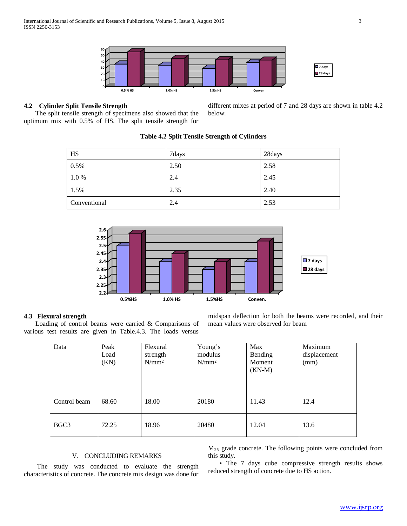

# **4.2 Cylinder Split Tensile Strength**

 The split tensile strength of specimens also showed that the optimum mix with 0.5% of HS. The split tensile strength for

different mixes at period of 7 and 28 days are shown in table 4.2 below.

| HS           | 7days | 28days |
|--------------|-------|--------|
| 0.5%         | 2.50  | 2.58   |
| 1.0%         | 2.4   | 2.45   |
| 1.5%         | 2.35  | 2.40   |
| Conventional | 2.4   | 2.53   |

## **Table 4.2 Split Tensile Strength of Cylinders**



## **4.3 Flexural strength**

 Loading of control beams were carried & Comparisons of various test results are given in Table.4.3. The loads versus midspan deflection for both the beams were recorded, and their mean values were observed for beam

| Data         | Peak<br>Load<br>(KN) | Flexural<br>strength<br>N/mm <sup>2</sup> | Young's<br>modulus<br>N/mm <sup>2</sup> | Max<br>Bending<br>Moment<br>$(KN-M)$ | Maximum<br>displacement<br>(mm) |
|--------------|----------------------|-------------------------------------------|-----------------------------------------|--------------------------------------|---------------------------------|
| Control beam | 68.60                | 18.00                                     | 20180                                   | 11.43                                | 12.4                            |
| BGC3         | 72.25                | 18.96                                     | 20480                                   | 12.04                                | 13.6                            |

# V. CONCLUDING REMARKS

 The study was conducted to evaluate the strength characteristics of concrete. The concrete mix design was done for

M25 grade concrete. The following points were concluded from this study.

 • The 7 days cube compressive strength results shows reduced strength of concrete due to HS action.